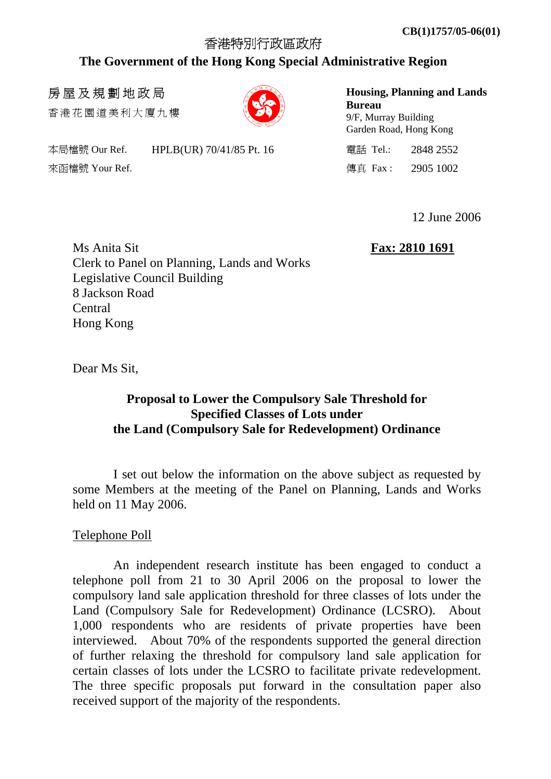# 香港特別行政區政府 **The Government of the Hong Kong Special Administrative Region**

## 房屋及規劃地政局

香港花園道美 利 大廈九 樓

本局檔號 Our Ref. HPLB(UR) 70/41/85 Pt. 16 <br> **ELEMBER 19: 2848 2552** 來函檔號 Your Ref. 2905 1002

**Housing, Planning and Lands Bureau**  9/F, Murray Building Garden Road, Hong Kong

12 June 2006

Ms Anita Sit **Fax: 2810 1691** Clerk to Panel on Planning, Lands and Works Legislative Council Building 8 Jackson Road Central Hong Kong

Dear Ms Sit.

## **Proposal to Lower the Compulsory Sale Threshold for Specified Classes of Lots under the Land (Compulsory Sale for Redevelopment) Ordinance**

 I set out below the information on the above subject as requested by some Members at the meeting of the Panel on Planning, Lands and Works held on 11 May 2006.

### Telephone Poll

 An independent research institute has been engaged to conduct a telephone poll from 21 to 30 April 2006 on the proposal to lower the compulsory land sale application threshold for three classes of lots under the Land (Compulsory Sale for Redevelopment) Ordinance (LCSRO). About 1,000 respondents who are residents of private properties have been interviewed. About 70% of the respondents supported the general direction of further relaxing the threshold for compulsory land sale application for certain classes of lots under the LCSRO to facilitate private redevelopment. The three specific proposals put forward in the consultation paper also received support of the majority of the respondents.